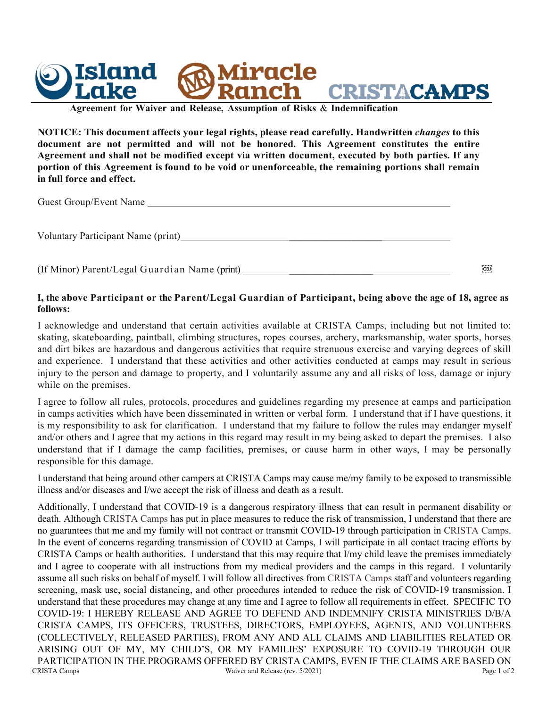

**Agreement for Waiver and Release, Assumption of Risks** & **Indemnification**

**NOTICE: This document affects your legal rights, please read carefully. Handwritten** *changes* **to this document are not permitted and will not be honored. This Agreement constitutes the entire Agreement and shall not be modified except via written document, executed by both parties. If any portion of this Agreement is found to be void or unenforceable, the remaining portions shall remain in full force and effect.**

Guest Group/Event Name

Voluntary Participant Name (print)

(If Minor) Parent/Legal Guardian Name (print) \_\_\_\_\_\_\_\_\_\_\_\_\_\_\_\_\_

## I, the above Participant or the Parent/Legal Guardian of Participant, being above the age of 18, agree as **follows:**

I acknowledge and understand that certain activities available at CRISTA Camps, including but not limited to: skating, skateboarding, paintball, climbing structures, ropes courses, archery, marksmanship, water sports, horses and dirt bikes are hazardous and dangerous activities that require strenuous exercise and varying degrees of skill and experience. I understand that these activities and other activities conducted at camps may result in serious injury to the person and damage to property, and I voluntarily assume any and all risks of loss, damage or injury while on the premises.

I agree to follow all rules, protocols, procedures and guidelines regarding my presence at camps and participation in camps activities which have been disseminated in written or verbal form. I understand that if I have questions, it is my responsibility to ask for clarification. I understand that my failure to follow the rules may endanger myself and/or others and I agree that my actions in this regard may result in my being asked to depart the premises. I also understand that if I damage the camp facilities, premises, or cause harm in other ways, I may be personally responsible for this damage.

I understand that being around other campers at CRISTA Camps may cause me/my family to be exposed to transmissible illness and/or diseases and I/we accept the risk of illness and death as a result.

CRISTA Camps Waiver and Release (rev. 5/2021) Page 1 of 2 Additionally, I understand that COVID-19 is a dangerous respiratory illness that can result in permanent disability or death. Although CRISTA Camps has put in place measures to reduce the risk of transmission, I understand that there are no guarantees that me and my family will not contract or transmit COVID-19 through participation in CRISTA Camps. In the event of concerns regarding transmission of COVID at Camps, I will participate in all contact tracing efforts by CRISTA Camps or health authorities. I understand that this may require that I/my child leave the premises immediately and I agree to cooperate with all instructions from my medical providers and the camps in this regard. I voluntarily assume all such risks on behalf of myself. I will follow all directives from CRISTA Camps staff and volunteers regarding screening, mask use, social distancing, and other procedures intended to reduce the risk of COVID-19 transmission. I understand that these procedures may change at any time and I agree to follow all requirements in effect. SPECIFIC TO COVID-19: I HEREBY RELEASE AND AGREE TO DEFEND AND INDEMNIFY CRISTA MINISTRIES D/B/A CRISTA CAMPS, ITS OFFICERS, TRUSTEES, DIRECTORS, EMPLOYEES, AGENTS, AND VOLUNTEERS (COLLECTIVELY, RELEASED PARTIES), FROM ANY AND ALL CLAIMS AND LIABILITIES RELATED OR ARISING OUT OF MY, MY CHILD'S, OR MY FAMILIES' EXPOSURE TO COVID-19 THROUGH OUR PARTICIPATION IN THE PROGRAMS OFFERED BY CRISTA CAMPS, EVEN IF THE CLAIMS ARE BASED ON